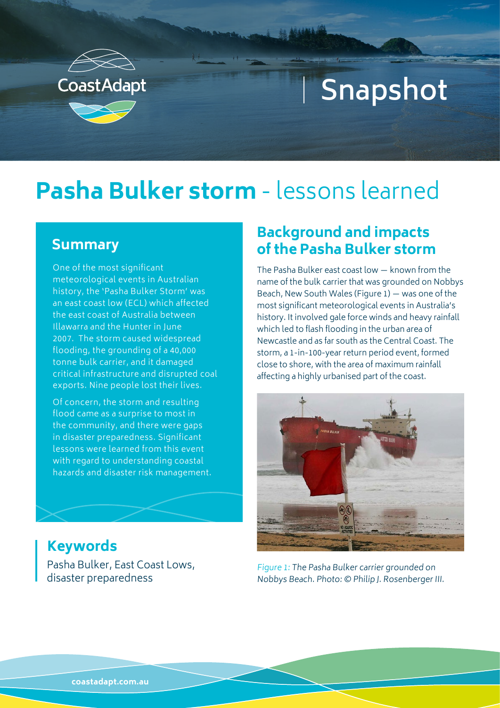

# **Snapshot**

# **Pasha Bulker storm** - lessons learned

#### **Summary**

One of the most significant meteorological events in Australian history, the 'Pasha Bulker Storm' was an east coast low (ECL) which affected the east coast of Australia between Illawarra and the Hunter in June 2007. The storm caused widespread flooding, the grounding of a 40,000 tonne bulk carrier, and it damaged critical infrastructure and disrupted coal exports. Nine people lost their lives.

Of concern, the storm and resulting flood came as a surprise to most in the community, and there were gaps in disaster preparedness. Significant lessons were learned from this event with regard to understanding coastal hazards and disaster risk management.

#### **Background and impacts of the Pasha Bulker storm**

The Pasha Bulker east coast low — known from the name of the bulk carrier that was grounded on Nobbys Beach, New South Wales (Figure 1) — was one of the most significant meteorological events in Australia's history. It involved gale force winds and heavy rainfall which led to flash flooding in the urban area of Newcastle and as far south as the Central Coast. The storm, a 1-in-100-year return period event, formed close to shore, with the area of maximum rainfall affecting a highly urbanised part of the coast.



#### Figure 1: The Pasha Bulker carrier grounded on Nobbys Beach. Photo: © Philip J. Rosenberger III.

#### **Keywords**

Pasha Bulker, East Coast Lows, disaster preparedness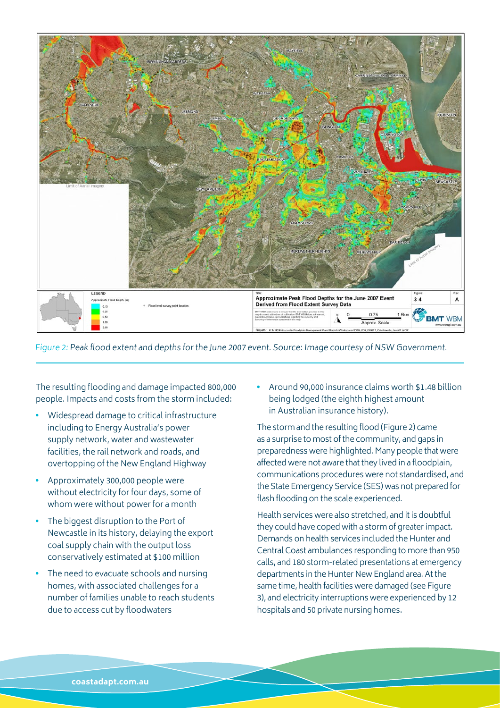

Figure 2: Peak flood extent and depths for the June 2007 event. Source: Image courtesy of NSW Government.

The resulting flooding and damage impacted 800,000 people. Impacts and costs from the storm included:

- Widespread damage to critical infrastructure including to Energy Australia's power supply network, water and wastewater facilities, the rail network and roads, and overtopping of the New England Highway
- Approximately 300,000 people were without electricity for four days, some of whom were without power for a month
- The biggest disruption to the Port of Newcastle in its history, delaying the export coal supply chain with the output loss conservatively estimated at \$100 million
- The need to evacuate schools and nursing homes, with associated challenges for a number of families unable to reach students due to access cut by floodwaters

• Around 90,000 insurance claims worth \$1.48 billion being lodged (the eighth highest amount in Australian insurance history).

The storm and the resulting flood (Figure 2) came as a surprise to most of the community, and gaps in preparedness were highlighted. Many people that were affected were not aware that they lived in a floodplain, communications procedures were not standardised, and the State Emergency Service (SES) was not prepared for flash flooding on the scale experienced.

Health services were also stretched, and it is doubtful they could have coped with a storm of greater impact. Demands on health services included the Hunter and Central Coast ambulances responding to more than 950 calls, and 180 storm-related presentations at emergency departments in the Hunter New England area. At the same time, health facilities were damaged (see Figure 3), and electricity interruptions were experienced by 12 hospitals and 50 private nursing homes.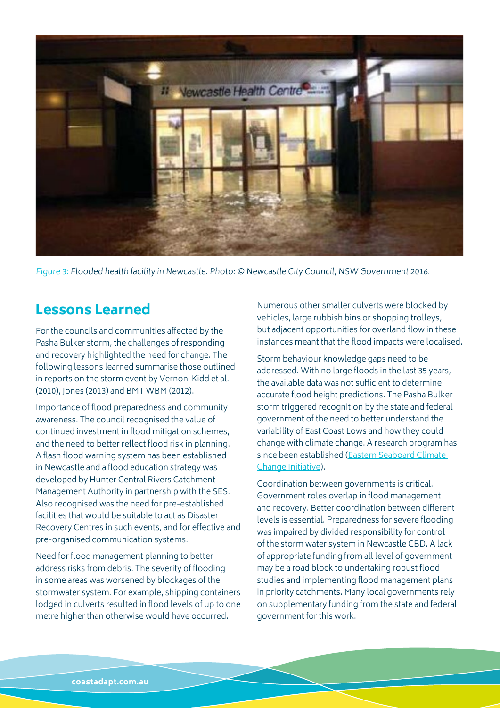

Figure 3: Flooded health facility in Newcastle. Photo: © Newcastle City Council, NSW Government 2016.

#### **Lessons Learned**

For the councils and communities affected by the Pasha Bulker storm, the challenges of responding and recovery highlighted the need for change. The following lessons learned summarise those outlined in reports on the storm event by Vernon-Kidd et al. (2010), Jones (2013) and BMT WBM (2012).

Importance of flood preparedness and community awareness. The council recognised the value of continued investment in flood mitigation schemes, and the need to better reflect flood risk in planning. A flash flood warning system has been established in Newcastle and a flood education strategy was developed by Hunter Central Rivers Catchment Management Authority in partnership with the SES. Also recognised was the need for pre-established facilities that would be suitable to act as Disaster Recovery Centres in such events, and for effective and pre-organised communication systems.

Need for flood management planning to better address risks from debris. The severity of flooding in some areas was worsened by blockages of the stormwater system. For example, shipping containers lodged in culverts resulted in flood levels of up to one metre higher than otherwise would have occurred.

Numerous other smaller culverts were blocked by vehicles, large rubbish bins or shopping trolleys, but adjacent opportunities for overland flow in these instances meant that the flood impacts were localised.

Storm behaviour knowledge gaps need to be addressed. With no large floods in the last 35 years, the available data was not sufficient to determine accurate flood height predictions. The Pasha Bulker storm triggered recognition by the state and federal government of the need to better understand the variability of East Coast Lows and how they could change with climate change. A research program has since been established ([Eastern Seaboard Climate](http://climatechange.environment.nsw.gov.au/Impacts-of-climate-change/East-Coast-Lows/Eastern-Seaboard-Climate-Change-Initiative)  [Change Initiative](http://climatechange.environment.nsw.gov.au/Impacts-of-climate-change/East-Coast-Lows/Eastern-Seaboard-Climate-Change-Initiative)).

Coordination between governments is critical. Government roles overlap in flood management and recovery. Better coordination between different levels is essential. Preparedness for severe flooding was impaired by divided responsibility for control of the storm water system in Newcastle CBD. A lack of appropriate funding from all level of government may be a road block to undertaking robust flood studies and implementing flood management plans in priority catchments. Many local governments rely on supplementary funding from the state and federal government for this work.